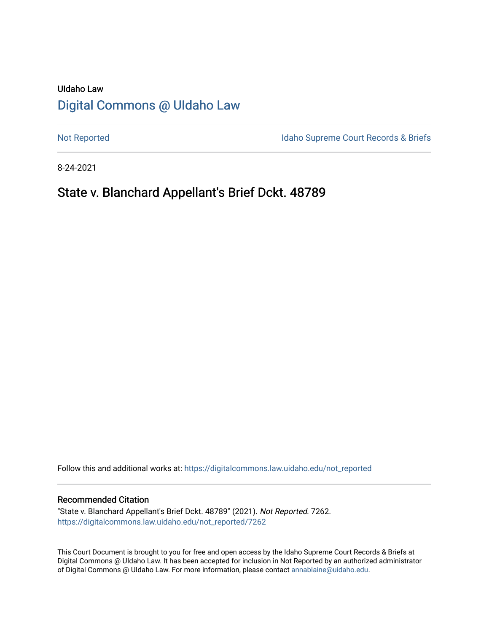# UIdaho Law [Digital Commons @ UIdaho Law](https://digitalcommons.law.uidaho.edu/)

[Not Reported](https://digitalcommons.law.uidaho.edu/not_reported) **Idaho Supreme Court Records & Briefs** 

8-24-2021

# State v. Blanchard Appellant's Brief Dckt. 48789

Follow this and additional works at: [https://digitalcommons.law.uidaho.edu/not\\_reported](https://digitalcommons.law.uidaho.edu/not_reported?utm_source=digitalcommons.law.uidaho.edu%2Fnot_reported%2F7262&utm_medium=PDF&utm_campaign=PDFCoverPages) 

#### Recommended Citation

"State v. Blanchard Appellant's Brief Dckt. 48789" (2021). Not Reported. 7262. [https://digitalcommons.law.uidaho.edu/not\\_reported/7262](https://digitalcommons.law.uidaho.edu/not_reported/7262?utm_source=digitalcommons.law.uidaho.edu%2Fnot_reported%2F7262&utm_medium=PDF&utm_campaign=PDFCoverPages)

This Court Document is brought to you for free and open access by the Idaho Supreme Court Records & Briefs at Digital Commons @ UIdaho Law. It has been accepted for inclusion in Not Reported by an authorized administrator of Digital Commons @ UIdaho Law. For more information, please contact [annablaine@uidaho.edu](mailto:annablaine@uidaho.edu).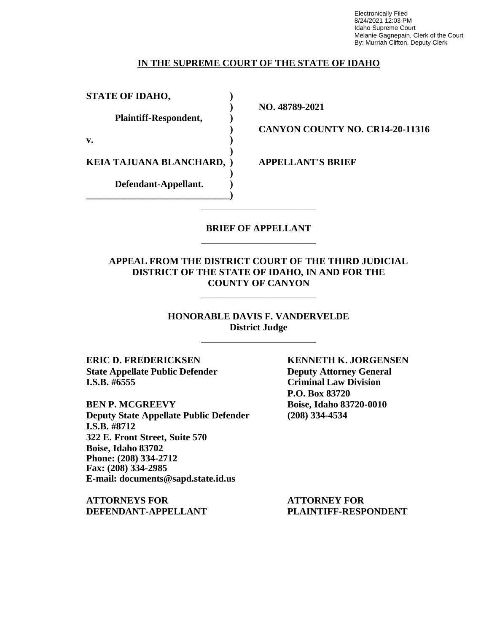Electronically Filed 8/24/2021 12:03 PM Idaho Supreme Court Melanie Gagnepain, Clerk of the Court By: Murriah Clifton, Deputy Clerk

### **IN THE SUPREME COURT OF THE STATE OF IDAHO**

**STATE OF IDAHO, ) Plaintiff-Respondent, ) v. ) KEIA TAJUANA BLANCHARD, ) APPELLANT'S BRIEF Defendant-Appellant. ) \_\_\_\_\_\_\_\_\_\_\_\_\_\_\_\_\_\_\_\_\_\_\_\_\_\_\_\_\_\_)**

**) NO. 48789-2021**

**) CANYON COUNTY NO. CR14-20-11316**

## **BRIEF OF APPELLANT** \_\_\_\_\_\_\_\_\_\_\_\_\_\_\_\_\_\_\_\_\_\_\_\_

\_\_\_\_\_\_\_\_\_\_\_\_\_\_\_\_\_\_\_\_\_\_\_\_

**)**

**)**

## **APPEAL FROM THE DISTRICT COURT OF THE THIRD JUDICIAL DISTRICT OF THE STATE OF IDAHO, IN AND FOR THE COUNTY OF CANYON**

\_\_\_\_\_\_\_\_\_\_\_\_\_\_\_\_\_\_\_\_\_\_\_\_

**HONORABLE DAVIS F. VANDERVELDE District Judge**

\_\_\_\_\_\_\_\_\_\_\_\_\_\_\_\_\_\_\_\_\_\_\_\_

**ERIC D. FREDERICKSEN KENNETH K. JORGENSEN State Appellate Public Defender Deputy Attorney General I.S.B. #6555 Criminal Law Division**

**BEN P. MCGREEVY Boise, Idaho 83720-0010 Deputy State Appellate Public Defender (208) 334-4534 I.S.B. #8712 322 E. Front Street, Suite 570 Boise, Idaho 83702 Phone: (208) 334-2712 Fax: (208) 334-2985 E-mail: documents@sapd.state.id.us**

**ATTORNEYS FOR ATTORNEY FOR DEFENDANT-APPELLANT PLAINTIFF-RESPONDENT**

**P.O. Box 83720**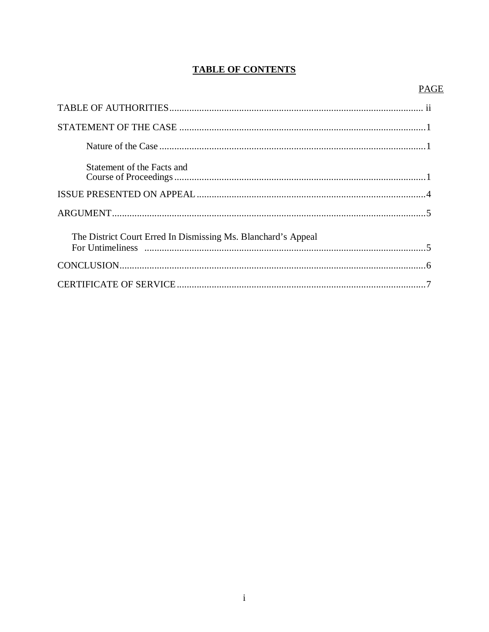## **TABLE OF CONTENTS**

## **PAGE**

| Statement of the Facts and                                    |
|---------------------------------------------------------------|
|                                                               |
|                                                               |
| The District Court Erred In Dismissing Ms. Blanchard's Appeal |
|                                                               |
|                                                               |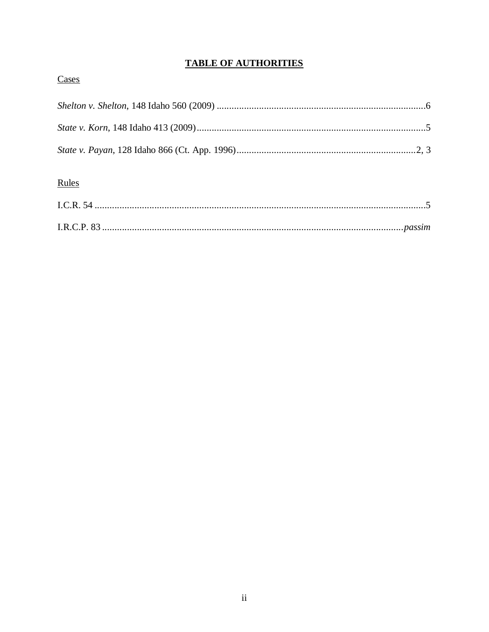## **TABLE OF AUTHORITIES**

## Cases

| Rules |  |
|-------|--|
|       |  |
|       |  |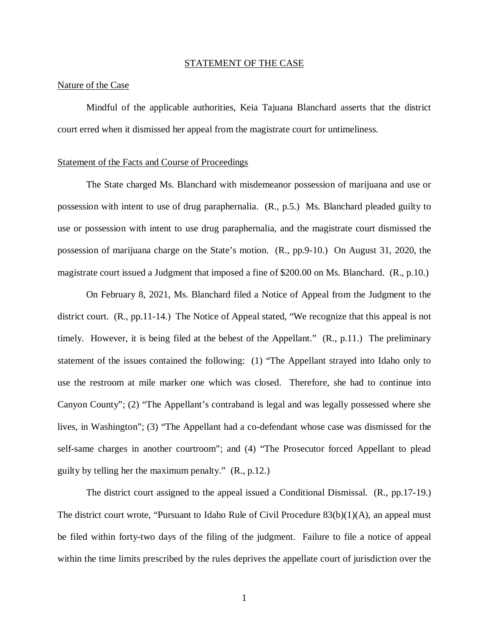#### STATEMENT OF THE CASE

#### Nature of the Case

Mindful of the applicable authorities, Keia Tajuana Blanchard asserts that the district court erred when it dismissed her appeal from the magistrate court for untimeliness.

#### Statement of the Facts and Course of Proceedings

The State charged Ms. Blanchard with misdemeanor possession of marijuana and use or possession with intent to use of drug paraphernalia. (R., p.5.) Ms. Blanchard pleaded guilty to use or possession with intent to use drug paraphernalia, and the magistrate court dismissed the possession of marijuana charge on the State's motion. (R., pp.9-10.) On August 31, 2020, the magistrate court issued a Judgment that imposed a fine of \$200.00 on Ms. Blanchard. (R., p.10.)

On February 8, 2021, Ms. Blanchard filed a Notice of Appeal from the Judgment to the district court. (R., pp.11-14.) The Notice of Appeal stated, "We recognize that this appeal is not timely. However, it is being filed at the behest of the Appellant." (R., p.11.) The preliminary statement of the issues contained the following: (1) "The Appellant strayed into Idaho only to use the restroom at mile marker one which was closed. Therefore, she had to continue into Canyon County"; (2) "The Appellant's contraband is legal and was legally possessed where she lives, in Washington"; (3) "The Appellant had a co-defendant whose case was dismissed for the self-same charges in another courtroom"; and (4) "The Prosecutor forced Appellant to plead guilty by telling her the maximum penalty." (R., p.12.)

The district court assigned to the appeal issued a Conditional Dismissal. (R., pp.17-19.) The district court wrote, "Pursuant to Idaho Rule of Civil Procedure 83(b)(1)(A), an appeal must be filed within forty-two days of the filing of the judgment. Failure to file a notice of appeal within the time limits prescribed by the rules deprives the appellate court of jurisdiction over the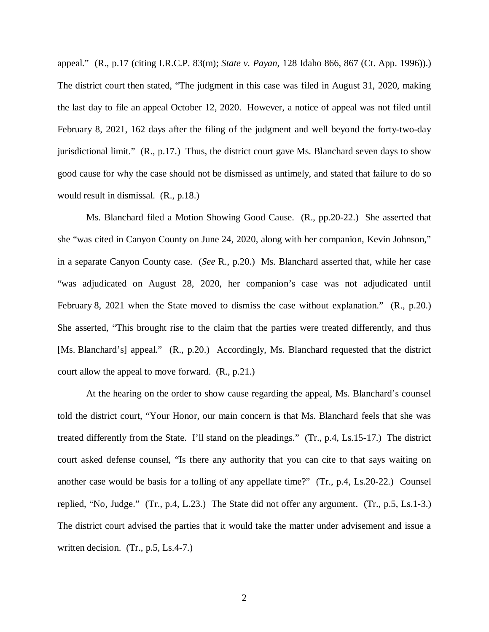appeal." (R., p.17 (citing I.R.C.P. 83(m); *State v. Payan*, 128 Idaho 866, 867 (Ct. App. 1996)).) The district court then stated, "The judgment in this case was filed in August 31, 2020, making the last day to file an appeal October 12, 2020. However, a notice of appeal was not filed until February 8, 2021, 162 days after the filing of the judgment and well beyond the forty-two-day jurisdictional limit." (R., p.17.) Thus, the district court gave Ms. Blanchard seven days to show good cause for why the case should not be dismissed as untimely, and stated that failure to do so would result in dismissal. (R., p.18.)

Ms. Blanchard filed a Motion Showing Good Cause. (R., pp.20-22.) She asserted that she "was cited in Canyon County on June 24, 2020, along with her companion, Kevin Johnson," in a separate Canyon County case. (*See* R., p.20.) Ms. Blanchard asserted that, while her case "was adjudicated on August 28, 2020, her companion's case was not adjudicated until February 8, 2021 when the State moved to dismiss the case without explanation." (R., p.20.) She asserted, "This brought rise to the claim that the parties were treated differently, and thus [Ms. Blanchard's] appeal." (R., p.20.) Accordingly, Ms. Blanchard requested that the district court allow the appeal to move forward. (R., p.21.)

At the hearing on the order to show cause regarding the appeal, Ms. Blanchard's counsel told the district court, "Your Honor, our main concern is that Ms. Blanchard feels that she was treated differently from the State. I'll stand on the pleadings." (Tr., p.4, Ls.15-17.) The district court asked defense counsel, "Is there any authority that you can cite to that says waiting on another case would be basis for a tolling of any appellate time?" (Tr., p.4, Ls.20-22.) Counsel replied, "No, Judge." (Tr., p.4, L.23.) The State did not offer any argument. (Tr., p.5, Ls.1-3.) The district court advised the parties that it would take the matter under advisement and issue a written decision. (Tr., p.5, Ls.4-7.)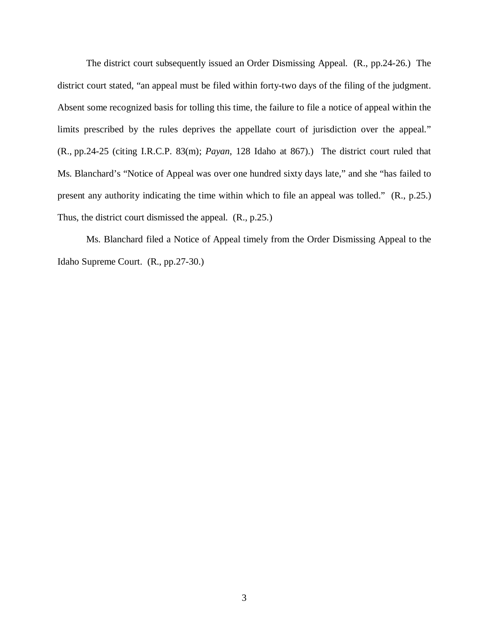The district court subsequently issued an Order Dismissing Appeal. (R., pp.24-26.) The district court stated, "an appeal must be filed within forty-two days of the filing of the judgment. Absent some recognized basis for tolling this time, the failure to file a notice of appeal within the limits prescribed by the rules deprives the appellate court of jurisdiction over the appeal." (R., pp.24-25 (citing I.R.C.P. 83(m); *Payan*, 128 Idaho at 867).) The district court ruled that Ms. Blanchard's "Notice of Appeal was over one hundred sixty days late," and she "has failed to present any authority indicating the time within which to file an appeal was tolled." (R., p.25.) Thus, the district court dismissed the appeal. (R., p.25.)

Ms. Blanchard filed a Notice of Appeal timely from the Order Dismissing Appeal to the Idaho Supreme Court. (R., pp.27-30.)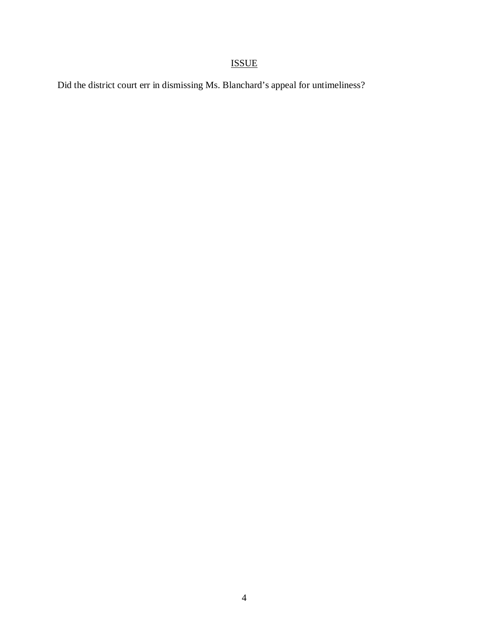# ISSUE

Did the district court err in dismissing Ms. Blanchard's appeal for untimeliness?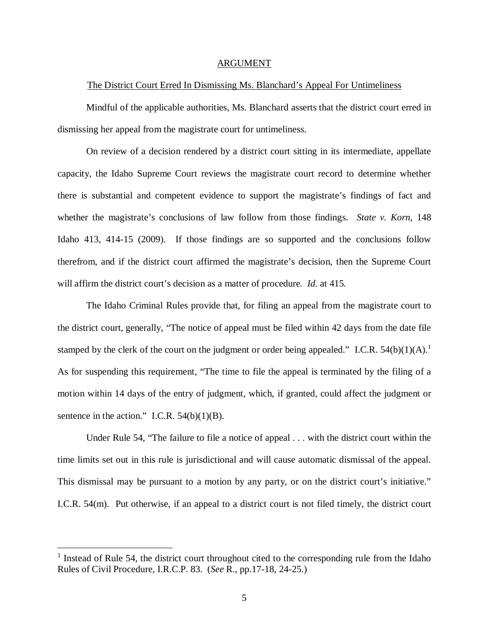#### ARGUMENT

#### The District Court Erred In Dismissing Ms. Blanchard's Appeal For Untimeliness

Mindful of the applicable authorities, Ms. Blanchard asserts that the district court erred in dismissing her appeal from the magistrate court for untimeliness.

On review of a decision rendered by a district court sitting in its intermediate, appellate capacity, the Idaho Supreme Court reviews the magistrate court record to determine whether there is substantial and competent evidence to support the magistrate's findings of fact and whether the magistrate's conclusions of law follow from those findings. *State v. Korn*, 148 Idaho 413, 414-15 (2009). If those findings are so supported and the conclusions follow therefrom, and if the district court affirmed the magistrate's decision, then the Supreme Court will affirm the district court's decision as a matter of procedure. *Id.* at 415.

The Idaho Criminal Rules provide that, for filing an appeal from the magistrate court to the district court, generally, "The notice of appeal must be filed within 42 days from the date file stamped by the clerk of the court on the judgment or order being appealed." I.C.R.  $54(b)(1)(A)$  $54(b)(1)(A)$  $54(b)(1)(A)$ .<sup>1</sup> As for suspending this requirement, "The time to file the appeal is terminated by the filing of a motion within 14 days of the entry of judgment, which, if granted, could affect the judgment or sentence in the action." I.C.R.  $54(b)(1)(B)$ .

Under Rule 54, "The failure to file a notice of appeal . . . with the district court within the time limits set out in this rule is jurisdictional and will cause automatic dismissal of the appeal. This dismissal may be pursuant to a motion by any party, or on the district court's initiative." I.C.R. 54(m). Put otherwise, if an appeal to a district court is not filed timely, the district court

<span id="page-8-0"></span><sup>&</sup>lt;sup>1</sup> Instead of Rule 54, the district court throughout cited to the corresponding rule from the Idaho Rules of Civil Procedure, I.R.C.P. 83. (*See* R., pp.17-18, 24-25.)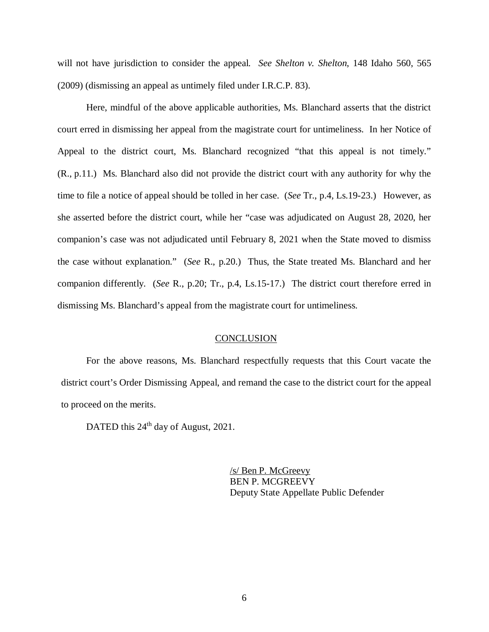will not have jurisdiction to consider the appeal. *See Shelton v. Shelton*, 148 Idaho 560, 565 (2009) (dismissing an appeal as untimely filed under I.R.C.P. 83).

Here, mindful of the above applicable authorities, Ms. Blanchard asserts that the district court erred in dismissing her appeal from the magistrate court for untimeliness. In her Notice of Appeal to the district court, Ms. Blanchard recognized "that this appeal is not timely." (R., p.11.) Ms. Blanchard also did not provide the district court with any authority for why the time to file a notice of appeal should be tolled in her case. (*See* Tr., p.4, Ls.19-23.) However, as she asserted before the district court, while her "case was adjudicated on August 28, 2020, her companion's case was not adjudicated until February 8, 2021 when the State moved to dismiss the case without explanation." (*See* R., p.20.) Thus, the State treated Ms. Blanchard and her companion differently. (*See* R., p.20; Tr., p.4, Ls.15-17.) The district court therefore erred in dismissing Ms. Blanchard's appeal from the magistrate court for untimeliness.

### **CONCLUSION**

For the above reasons, Ms. Blanchard respectfully requests that this Court vacate the district court's Order Dismissing Appeal, and remand the case to the district court for the appeal to proceed on the merits.

DATED this 24<sup>th</sup> day of August, 2021.

/s/ Ben P. McGreevy BEN P. MCGREEVY Deputy State Appellate Public Defender